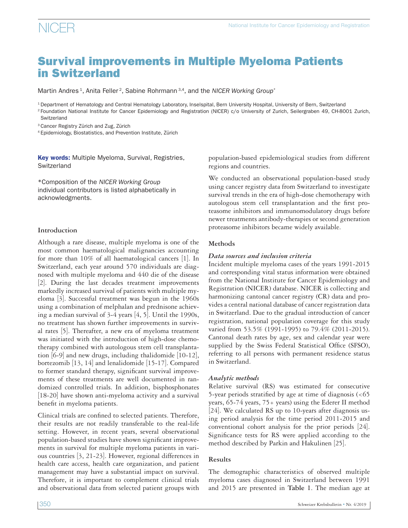# Survival improvements in Multiple Myeloma Patients in Switzerland

Martin Andres<sup>1</sup>, Anita Feller<sup>2</sup>, Sabine Rohrmann<sup>3,4</sup>, and the *NICER Working Group*<sup>\*</sup>

1 Department of Hematology and Central Hematology Laboratory, Inselspital, Bern University Hospital, University of Bern, Switzerland <sup>2</sup> Foundation National Institute for Cancer Epidemiology and Registration (NICER) c/o University of Zurich, Seilergraben 49, CH-8001 Zurich, Switzerland

3 Cancer Registry Zürich and Zug, Zürich

4 Epidemiology, Biostatistics, and Prevention Institute, Zürich

Key words: Multiple Myeloma, Survival, Registries, **Switzerland** 

\*Composition of the *NICER Working Group*  individual contributors is listed alphabetically in acknowledgments.

### **Introduction**

Although a rare disease, multiple myeloma is one of the most common haematological malignancies accounting for more than 10% of all haematological cancers [1]. In Switzerland, each year around 570 individuals are diagnosed with multiple myeloma and 440 die of the disease [2]. During the last decades treatment improvements markedly increased survival of patients with multiple myeloma [3]. Successful treatment was begun in the 1960s using a combination of melphalan and prednisone achieving a median survival of 3-4 years [4, 5]. Until the 1990s, no treatment has shown further improvements in survival rates [5]. Thereafter, a new era of myeloma treatment was initiated with the introduction of high-dose chemotherapy combined with autologous stem cell transplantation [6-9] and new drugs, including thalidomide [10-12], bortezomib [13, 14] and lenalidomide [15-17]. Compared to former standard therapy, significant survival improvements of these treatments are well documented in randomized controlled trials. In addition, bisphosphonates [18-20] have shown anti-myeloma activity and a survival benefit in myeloma patients.

Clinical trials are confined to selected patients. Therefore, their results are not readily transferable to the real-life setting. However, in recent years, several observational population-based studies have shown significant improvements in survival for multiple myeloma patients in various countries [3, 21-23]. However, regional differences in health care access, health care organization, and patient management may have a substantial impact on survival. Therefore, it is important to complement clinical trials and observational data from selected patient groups with population-based epidemiological studies from different regions and countries.

We conducted an observational population-based study using cancer registry data from Switzerland to investigate survival trends in the era of high-dose chemotherapy with autologous stem cell transplantation and the first proteasome inhibitors and immunomodulatory drugs before newer treatments antibody-therapies or second generation proteasome inhibitors became widely available.

## **Methods**

## *Data sources and inclusion criteria*

Incident multiple myeloma cases of the years 1991-2015 and corresponding vital status information were obtained from the National Institute for Cancer Epidemiology and Registration (NICER) database. NICER is collecting and harmonizing cantonal cancer registry (CR) data and provides a central national database of cancer registration data in Switzerland. Due to the gradual introduction of cancer registration, national population coverage for this study varied from 53.5% (1991-1995) to 79.4% (2011-2015). Cantonal death rates by age, sex and calendar year were supplied by the Swiss Federal Statistical Office (SFSO), referring to all persons with permanent residence status in Switzerland.

# *Analytic methods*

Relative survival (RS) was estimated for consecutive 5-year periods stratified by age at time of diagnosis (<65 years, 65-74 years, 75+ years) using the Ederer II method [24]. We calculated RS up to 10-years after diagnosis using period analysis for the time period 2011-2015 and conventional cohort analysis for the prior periods [24]. Significance tests for RS were applied according to the method described by Parkin and Hakulinen [25].

# **Results**

The demographic characteristics of observed multiple myeloma cases diagnosed in Switzerland between 1991 and 2015 are presented in **Table 1**. The median age at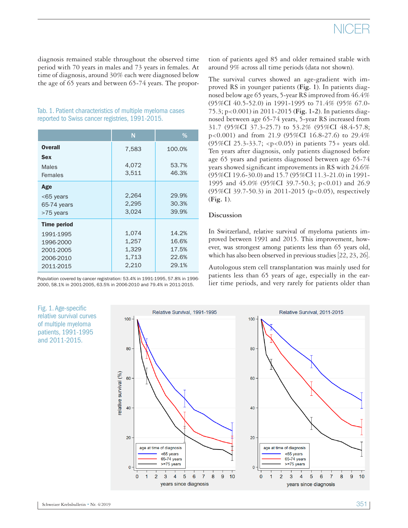diagnosis remained stable throughout the observed time period with 70 years in males and 73 years in females. At time of diagnosis, around 30% each were diagnosed below the age of 65 years and between 65-74 years. The propor-

| Tab. 1. Patient characteristics of multiple myeloma cases |  |
|-----------------------------------------------------------|--|
| reported to Swiss cancer registries, 1991-2015.           |  |

|                    | N     | %      |
|--------------------|-------|--------|
| <b>Overall</b>     | 7,583 | 100.0% |
| <b>Sex</b>         |       |        |
| Males              | 4,072 | 53.7%  |
| Females            | 3,511 | 46.3%  |
| Age                |       |        |
| $<$ 65 years       | 2,264 | 29.9%  |
| 65-74 years        | 2,295 | 30.3%  |
| >75 years          | 3,024 | 39.9%  |
| <b>Time period</b> |       |        |
| 1991-1995          | 1,074 | 14.2%  |
| 1996-2000          | 1,257 | 16.6%  |
| 2001-2005          | 1,329 | 17.5%  |
| 2006-2010          | 1,713 | 22.6%  |
| 2011-2015          | 2,210 | 29.1%  |

Population covered by cancer registration: 53.4% in 1991-1995, 57.8% in 1996- 2000, 58.1% in 2001-2005, 63.5% in 2006-2010 and 79.4% in 2011-2015.

Fig. 1. Age-specific relative survival curves of multiple myeloma patients, 1991-1995 and 2011-2015.

tion of patients aged 85 and older remained stable with around 9% across all time periods (data not shown).

The survival curves showed an age-gradient with improved RS in younger patients (**Fig. 1**). In patients diagnosed below age 65 years, 5-year RS improved from 46.4% (95%CI 40.5-52.0) in 1991-1995 to 71.4% (95% 67.0- 75.3; p<0.001) in 2011-2015 (**Fig. 1-2**). In patients diagnosed between age 65-74 years, 5-year RS increased from 31.7 (95%CI 37.3-25.7) to 53.2% (95%CI 48.4-57.8; p<0.001) and from 21.9 (95%CI 16.8-27.6) to 29.4% (95%CI 25.3-33.7; <p<0.05) in patients 75+ years old. Ten years after diagnosis, only patients diagnosed before age 65 years and patients diagnosed between age 65-74 years showed significant improvements in RS with 24.6% (95%CI 19.6-30.0) and 15.7 (95%CI 11.3-21.0) in 1991- 1995 and 45.0% (95%CI 39.7-50.3; p<0.01) and 26.9 (95%CI 39.7-50.3) in 2011-2015 (p<0.05), respectively (**Fig. 1**).

### **Discussion**

In Switzerland, relative survival of myeloma patients improved between 1991 and 2015. This improvement, however, was strongest among patients less than 65 years old, which has also been observed in previous studies [22, 23, 26].

Autologous stem cell transplantation was mainly used for patients less than 65 years of age, especially in the earlier time periods, and very rarely for patients older than

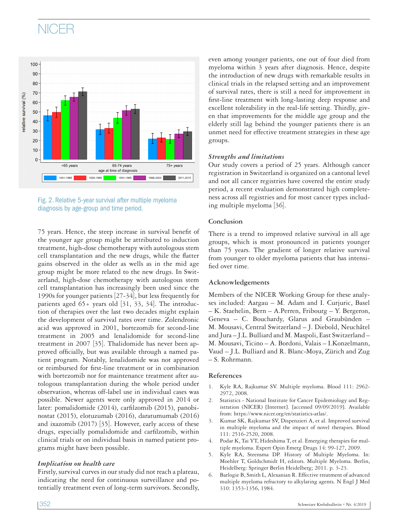# NICER





75 years. Hence, the steep increase in survival benefit of the younger age group might be attributed to induction treatment, high-dose chemotherapy with autologous stem cell transplantation and the new drugs, while the flatter gains observed in the older as wells as in the mid age group might be more related to the new drugs. In Switzerland, high-dose chemotherapy with autologous stem cell transplantation has increasingly been used since the 1990s for younger patients [27-34], but less frequently for patients aged  $65+$  years old  $[31, 33, 34]$ . The introduction of therapies over the last two decades might explain the development of survival rates over time. Zolendronic acid was approved in 2001, bortezomib for second-line treatment in 2005 and lenalidomide for second-line treatment in 2007 [35]. Thalidomide has never been approved officially, but was available through a named patient program. Notably, lenalidomide was not approved or reimbursed for first-line treatment or in combination with bortezomib nor for maintenance treatment after autologous transplantation during the whole period under observation, whereas off-label use in individual cases was possible. Newer agents were only approved in 2014 or later: pomalidomide (2014), carfilzomib (2015), panobinostat (2015), elotuzumab (2016), daratumumab (2016) and ixazomib (2017) [35]. However, early access of these drugs, especially pomalidomide and carfilzomib, within clinical trials or on individual basis in named patient programs might have been possible.

### *Implication on health care*

Firstly, survival curves in our study did not reach a plateau, indicating the need for continuous surveillance and potentially treatment even of long-term survivors. Secondly, even among younger patients, one out of four died from myeloma within 3 years after diagnosis. Hence, despite the introduction of new drugs with remarkable results in clinical trials in the relapsed setting and an improvement of survival rates, there is still a need for improvement in first-line treatment with long-lasting deep response and excellent tolerability in the real-life setting. Thirdly, given that improvements for the middle age group and the elderly still lag behind the younger patients there is an unmet need for effective treatment strategies in these age groups.

### *Strengths and limitations*

Our study covers a period of 25 years. Although cancer registration in Switzerland is organized on a cantonal level and not all cancer registries have covered the entire study period, a recent evaluation demonstrated high completeness across all registries and for most cancer types including multiple myeloma [36].

### **Conclusion**

There is a trend to improved relative survival in all age groups, which is most pronounced in patients younger than 75 years. The gradient of longer relative survival from younger to older myeloma patients that has intensified over time.

### **Acknowledgements**

Members of the NICER Working Group for these analyses included: Aargau – M. Adam and I. Curjuric, Basel – K. Staehelin, Bern – A.Perren, Fribourg – Y. Bergeron, Geneva – C. Bouchardy, Glarus and Graubünden – M. Mousavi, Central Switzerland – J. Diebold, Neuchâtel and Jura – J.L. Bulliard and M. Maspoli, East Switzerland – M. Mousavi, Ticino – A. Bordoni, Valais – I.Konzelmann, Vaud – J.L. Bulliard and R. Blanc‐Moya, Zürich and Zug – S. Rohrmann.

### **References**

- 1. Kyle RA, Rajkumar SV. Multiple myeloma. Blood 111: 2962- 2972, 2008.
- 2. Statistics National Institute for Cancer Epidemiology and Registration (NICER) [Internet]. [accessed 09/09/2019]. Available from: https://www.nicer.org/en/statistics-atlas/.
- 3. Kumar SK, Rajkumar SV, Dispenzieri A, et al. Improved survival in multiple myeloma and the impact of novel therapies. Blood 111: 2516-2520, 2008.
- 4. Podar K, Tai YT, Hideshima T, et al. Emerging therapies for multiple myeloma. Expert Opin Emerg Drugs 14: 99-127, 2009.
- 5. Kyle RA, Steensma DP. History of Multiple Myeloma. In: Moehler T, Goldschmidt H, editors. Multiple Myeloma. Berlin, Heidelberg: Springer Berlin Heidelberg; 2011. p. 3-23.
- 6. Barlogie B, Smith L, Alexanian R. Effective treatment of advanced multiple myeloma refractory to alkylating agents. N Engl J Med 310: 1353-1356, 1984.